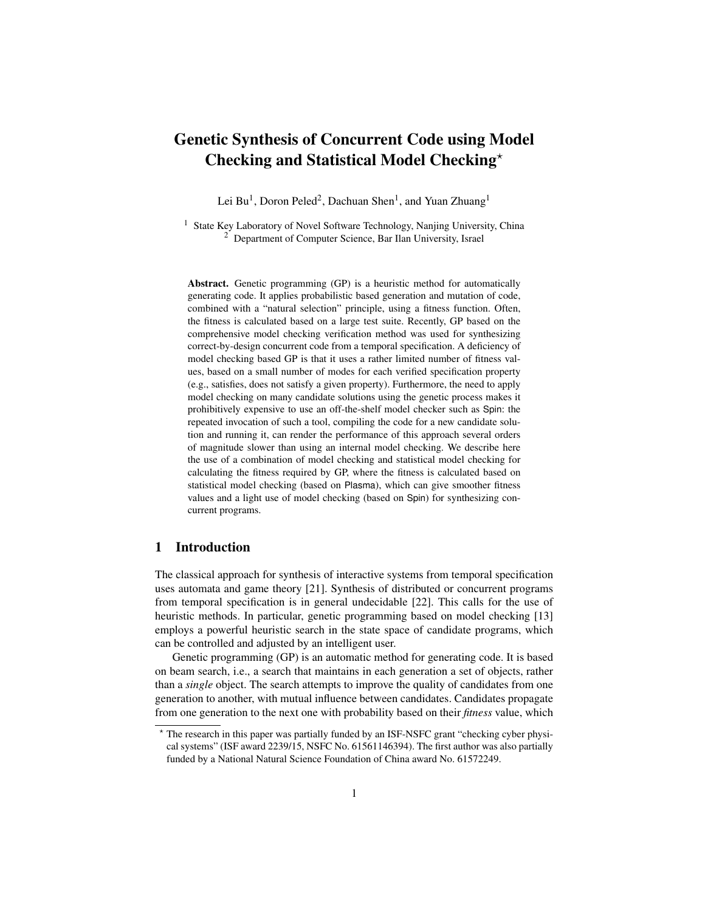# Genetic Synthesis of Concurrent Code using Model Checking and Statistical Model Checking?

Lei Bu<sup>1</sup>, Doron Peled<sup>2</sup>, Dachuan Shen<sup>1</sup>, and Yuan Zhuang<sup>1</sup>

<sup>1</sup> State Key Laboratory of Novel Software Technology, Nanjing University, China  $2$  Department of Computer Science, Bar Ilan University, Israel

Abstract. Genetic programming (GP) is a heuristic method for automatically generating code. It applies probabilistic based generation and mutation of code, combined with a "natural selection" principle, using a fitness function. Often, the fitness is calculated based on a large test suite. Recently, GP based on the comprehensive model checking verification method was used for synthesizing correct-by-design concurrent code from a temporal specification. A deficiency of model checking based GP is that it uses a rather limited number of fitness values, based on a small number of modes for each verified specification property (e.g., satisfies, does not satisfy a given property). Furthermore, the need to apply model checking on many candidate solutions using the genetic process makes it prohibitively expensive to use an off-the-shelf model checker such as Spin: the repeated invocation of such a tool, compiling the code for a new candidate solution and running it, can render the performance of this approach several orders of magnitude slower than using an internal model checking. We describe here the use of a combination of model checking and statistical model checking for calculating the fitness required by GP, where the fitness is calculated based on statistical model checking (based on Plasma), which can give smoother fitness values and a light use of model checking (based on Spin) for synthesizing concurrent programs.

# 1 Introduction

The classical approach for synthesis of interactive systems from temporal specification uses automata and game theory [21]. Synthesis of distributed or concurrent programs from temporal specification is in general undecidable [22]. This calls for the use of heuristic methods. In particular, genetic programming based on model checking [13] employs a powerful heuristic search in the state space of candidate programs, which can be controlled and adjusted by an intelligent user.

Genetic programming (GP) is an automatic method for generating code. It is based on beam search, i.e., a search that maintains in each generation a set of objects, rather than a *single* object. The search attempts to improve the quality of candidates from one generation to another, with mutual influence between candidates. Candidates propagate from one generation to the next one with probability based on their *fitness* value, which

<sup>?</sup> The research in this paper was partially funded by an ISF-NSFC grant "checking cyber physical systems" (ISF award 2239/15, NSFC No. 61561146394). The first author was also partially funded by a National Natural Science Foundation of China award No. 61572249.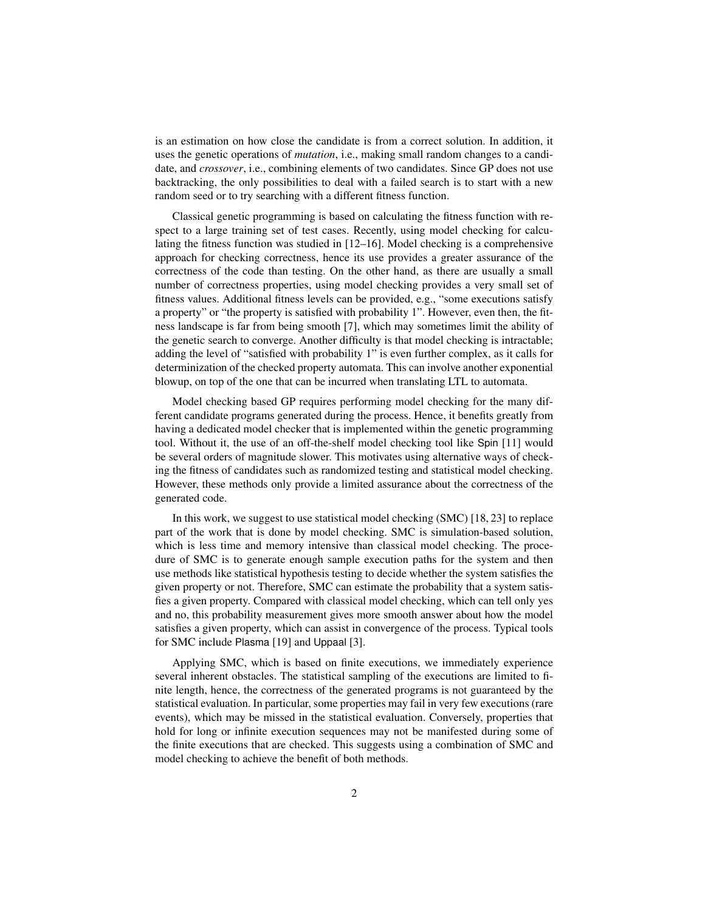is an estimation on how close the candidate is from a correct solution. In addition, it uses the genetic operations of *mutation*, i.e., making small random changes to a candidate, and *crossover*, i.e., combining elements of two candidates. Since GP does not use backtracking, the only possibilities to deal with a failed search is to start with a new random seed or to try searching with a different fitness function.

Classical genetic programming is based on calculating the fitness function with respect to a large training set of test cases. Recently, using model checking for calculating the fitness function was studied in [12–16]. Model checking is a comprehensive approach for checking correctness, hence its use provides a greater assurance of the correctness of the code than testing. On the other hand, as there are usually a small number of correctness properties, using model checking provides a very small set of fitness values. Additional fitness levels can be provided, e.g., "some executions satisfy a property" or "the property is satisfied with probability 1". However, even then, the fitness landscape is far from being smooth [7], which may sometimes limit the ability of the genetic search to converge. Another difficulty is that model checking is intractable; adding the level of "satisfied with probability 1" is even further complex, as it calls for determinization of the checked property automata. This can involve another exponential blowup, on top of the one that can be incurred when translating LTL to automata.

Model checking based GP requires performing model checking for the many different candidate programs generated during the process. Hence, it benefits greatly from having a dedicated model checker that is implemented within the genetic programming tool. Without it, the use of an off-the-shelf model checking tool like Spin [11] would be several orders of magnitude slower. This motivates using alternative ways of checking the fitness of candidates such as randomized testing and statistical model checking. However, these methods only provide a limited assurance about the correctness of the generated code.

In this work, we suggest to use statistical model checking (SMC) [18, 23] to replace part of the work that is done by model checking. SMC is simulation-based solution, which is less time and memory intensive than classical model checking. The procedure of SMC is to generate enough sample execution paths for the system and then use methods like statistical hypothesis testing to decide whether the system satisfies the given property or not. Therefore, SMC can estimate the probability that a system satisfies a given property. Compared with classical model checking, which can tell only yes and no, this probability measurement gives more smooth answer about how the model satisfies a given property, which can assist in convergence of the process. Typical tools for SMC include Plasma [19] and Uppaal [3].

Applying SMC, which is based on finite executions, we immediately experience several inherent obstacles. The statistical sampling of the executions are limited to finite length, hence, the correctness of the generated programs is not guaranteed by the statistical evaluation. In particular, some properties may fail in very few executions (rare events), which may be missed in the statistical evaluation. Conversely, properties that hold for long or infinite execution sequences may not be manifested during some of the finite executions that are checked. This suggests using a combination of SMC and model checking to achieve the benefit of both methods.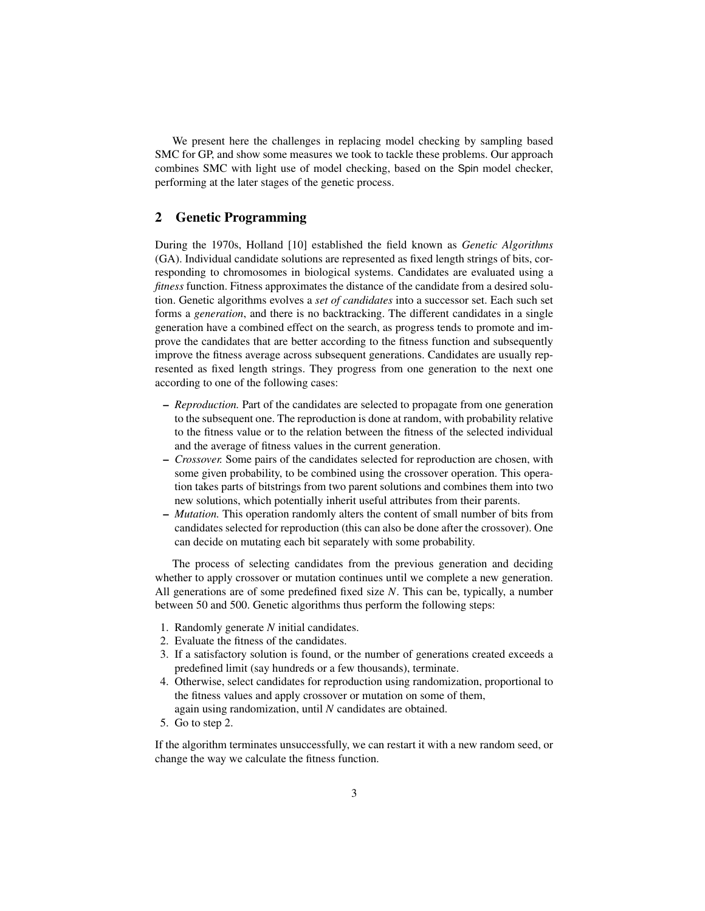We present here the challenges in replacing model checking by sampling based SMC for GP, and show some measures we took to tackle these problems. Our approach combines SMC with light use of model checking, based on the Spin model checker, performing at the later stages of the genetic process.

# 2 Genetic Programming

During the 1970s, Holland [10] established the field known as *Genetic Algorithms* (GA). Individual candidate solutions are represented as fixed length strings of bits, corresponding to chromosomes in biological systems. Candidates are evaluated using a *fitness* function. Fitness approximates the distance of the candidate from a desired solution. Genetic algorithms evolves a *set of candidates* into a successor set. Each such set forms a *generation*, and there is no backtracking. The different candidates in a single generation have a combined effect on the search, as progress tends to promote and improve the candidates that are better according to the fitness function and subsequently improve the fitness average across subsequent generations. Candidates are usually represented as fixed length strings. They progress from one generation to the next one according to one of the following cases:

- *Reproduction.* Part of the candidates are selected to propagate from one generation to the subsequent one. The reproduction is done at random, with probability relative to the fitness value or to the relation between the fitness of the selected individual and the average of fitness values in the current generation.
- *Crossover.* Some pairs of the candidates selected for reproduction are chosen, with some given probability, to be combined using the crossover operation. This operation takes parts of bitstrings from two parent solutions and combines them into two new solutions, which potentially inherit useful attributes from their parents.
- *Mutation.* This operation randomly alters the content of small number of bits from candidates selected for reproduction (this can also be done after the crossover). One can decide on mutating each bit separately with some probability.

The process of selecting candidates from the previous generation and deciding whether to apply crossover or mutation continues until we complete a new generation. All generations are of some predefined fixed size *N*. This can be, typically, a number between 50 and 500. Genetic algorithms thus perform the following steps:

- 1. Randomly generate *N* initial candidates.
- 2. Evaluate the fitness of the candidates.
- 3. If a satisfactory solution is found, or the number of generations created exceeds a predefined limit (say hundreds or a few thousands), terminate.
- 4. Otherwise, select candidates for reproduction using randomization, proportional to the fitness values and apply crossover or mutation on some of them, again using randomization, until *N* candidates are obtained.
- 5. Go to step 2.

If the algorithm terminates unsuccessfully, we can restart it with a new random seed, or change the way we calculate the fitness function.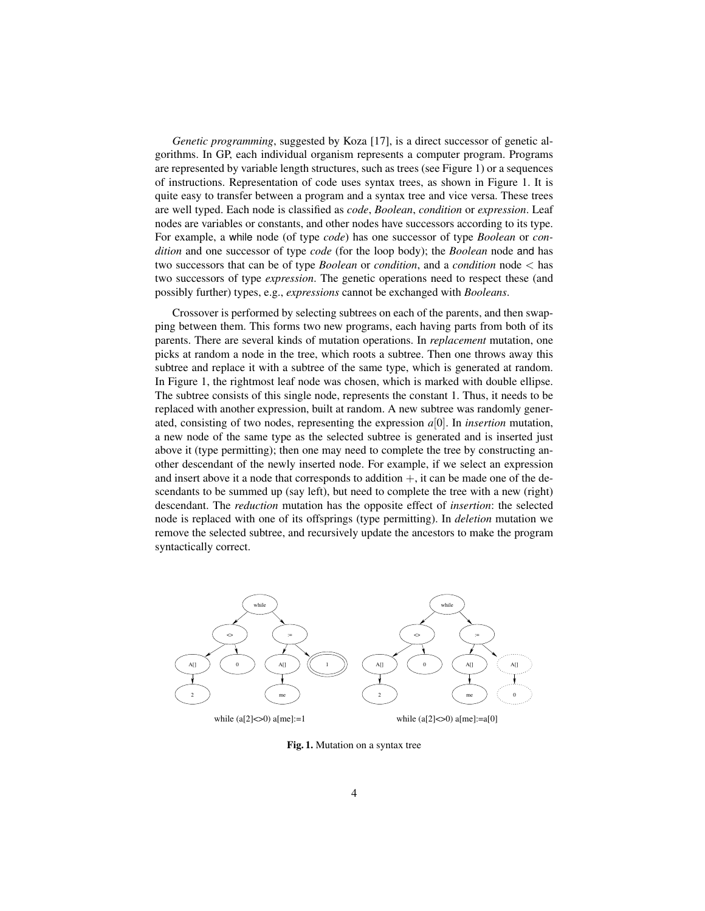*Genetic programming*, suggested by Koza [17], is a direct successor of genetic algorithms. In GP, each individual organism represents a computer program. Programs are represented by variable length structures, such as trees (see Figure 1) or a sequences of instructions. Representation of code uses syntax trees, as shown in Figure 1. It is quite easy to transfer between a program and a syntax tree and vice versa. These trees are well typed. Each node is classified as *code*, *Boolean*, *condition* or *expression*. Leaf nodes are variables or constants, and other nodes have successors according to its type. For example, a while node (of type *code*) has one successor of type *Boolean* or *condition* and one successor of type *code* (for the loop body); the *Boolean* node and has two successors that can be of type *Boolean* or *condition*, and a *condition* node < has two successors of type *expression*. The genetic operations need to respect these (and possibly further) types, e.g., *expressions* cannot be exchanged with *Booleans*.

Crossover is performed by selecting subtrees on each of the parents, and then swapping between them. This forms two new programs, each having parts from both of its parents. There are several kinds of mutation operations. In *replacement* mutation, one picks at random a node in the tree, which roots a subtree. Then one throws away this subtree and replace it with a subtree of the same type, which is generated at random. In Figure 1, the rightmost leaf node was chosen, which is marked with double ellipse. The subtree consists of this single node, represents the constant 1. Thus, it needs to be replaced with another expression, built at random. A new subtree was randomly generated, consisting of two nodes, representing the expression *a*[0]. In *insertion* mutation, a new node of the same type as the selected subtree is generated and is inserted just above it (type permitting); then one may need to complete the tree by constructing another descendant of the newly inserted node. For example, if we select an expression and insert above it a node that corresponds to addition  $+$ , it can be made one of the descendants to be summed up (say left), but need to complete the tree with a new (right) descendant. The *reduction* mutation has the opposite effect of *insertion*: the selected node is replaced with one of its offsprings (type permitting). In *deletion* mutation we remove the selected subtree, and recursively update the ancestors to make the program syntactically correct.



Fig. 1. Mutation on a syntax tree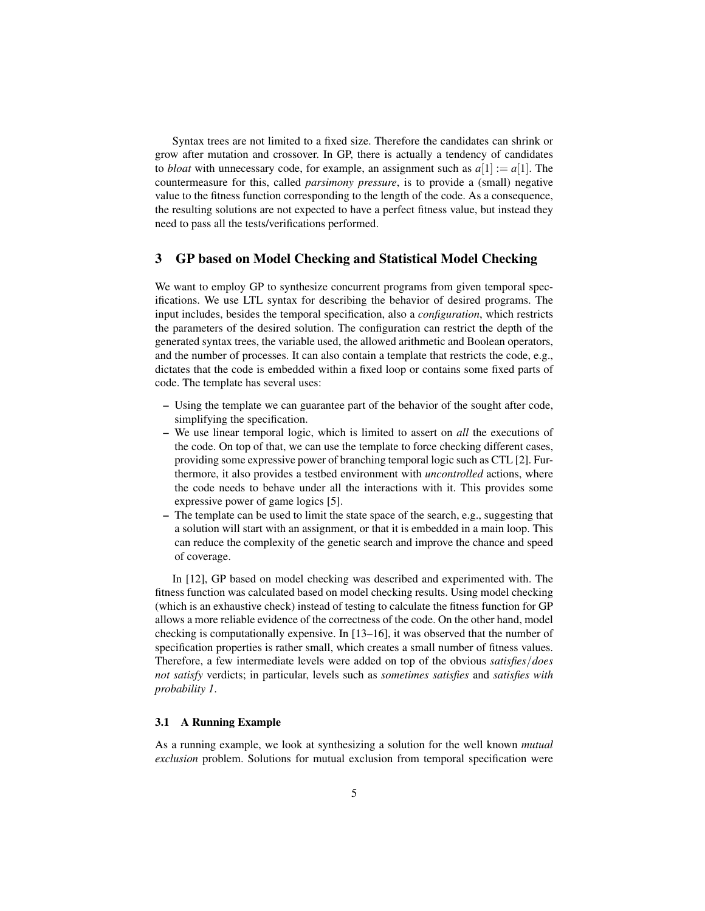Syntax trees are not limited to a fixed size. Therefore the candidates can shrink or grow after mutation and crossover. In GP, there is actually a tendency of candidates to *bloat* with unnecessary code, for example, an assignment such as  $a[1] := a[1]$ . The countermeasure for this, called *parsimony pressure*, is to provide a (small) negative value to the fitness function corresponding to the length of the code. As a consequence, the resulting solutions are not expected to have a perfect fitness value, but instead they need to pass all the tests/verifications performed.

# 3 GP based on Model Checking and Statistical Model Checking

We want to employ GP to synthesize concurrent programs from given temporal specifications. We use LTL syntax for describing the behavior of desired programs. The input includes, besides the temporal specification, also a *configuration*, which restricts the parameters of the desired solution. The configuration can restrict the depth of the generated syntax trees, the variable used, the allowed arithmetic and Boolean operators, and the number of processes. It can also contain a template that restricts the code, e.g., dictates that the code is embedded within a fixed loop or contains some fixed parts of code. The template has several uses:

- Using the template we can guarantee part of the behavior of the sought after code, simplifying the specification.
- We use linear temporal logic, which is limited to assert on *all* the executions of the code. On top of that, we can use the template to force checking different cases, providing some expressive power of branching temporal logic such as CTL [2]. Furthermore, it also provides a testbed environment with *uncontrolled* actions, where the code needs to behave under all the interactions with it. This provides some expressive power of game logics [5].
- The template can be used to limit the state space of the search, e.g., suggesting that a solution will start with an assignment, or that it is embedded in a main loop. This can reduce the complexity of the genetic search and improve the chance and speed of coverage.

In [12], GP based on model checking was described and experimented with. The fitness function was calculated based on model checking results. Using model checking (which is an exhaustive check) instead of testing to calculate the fitness function for GP allows a more reliable evidence of the correctness of the code. On the other hand, model checking is computationally expensive. In [13–16], it was observed that the number of specification properties is rather small, which creates a small number of fitness values. Therefore, a few intermediate levels were added on top of the obvious *satisfies*/*does not satisfy* verdicts; in particular, levels such as *sometimes satisfies* and *satisfies with probability 1*.

#### 3.1 A Running Example

As a running example, we look at synthesizing a solution for the well known *mutual exclusion* problem. Solutions for mutual exclusion from temporal specification were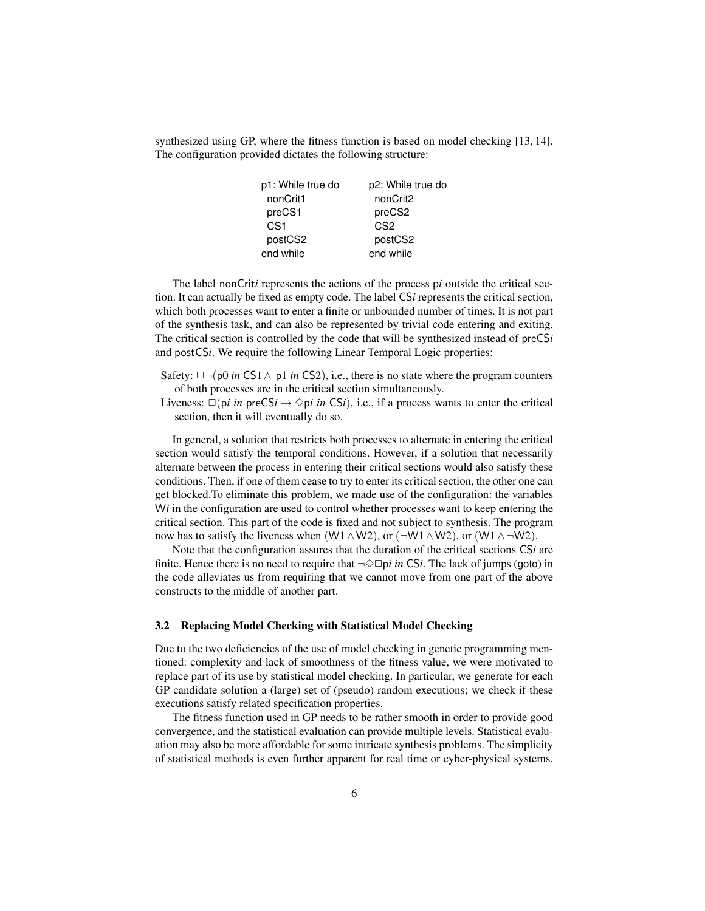synthesized using GP, where the fitness function is based on model checking [13, 14]. The configuration provided dictates the following structure:

| p1: While true do | p2: While true do    |
|-------------------|----------------------|
| nonCrit1          | nonCrit <sub>2</sub> |
| preCS1            | preCS2               |
| CS <sub>1</sub>   | CS <sub>2</sub>      |
| postCS2           | postCS2              |
| end while         | end while            |
|                   |                      |

The label nonCrit*i* represents the actions of the process p*i* outside the critical section. It can actually be fixed as empty code. The label CS*i* represents the critical section, which both processes want to enter a finite or unbounded number of times. It is not part of the synthesis task, and can also be represented by trivial code entering and exiting. The critical section is controlled by the code that will be synthesized instead of preCS*i* and postCS*i*. We require the following Linear Temporal Logic properties:

Safety:  $\Box$   $\neg$ (p0 *in* CS1  $\land$  p1 *in* CS2), i.e., there is no state where the program counters of both processes are in the critical section simultaneously.

Liveness:  $\square$ (p*i in* preCS*i*  $\rightarrow \diamond$  p*i in* CS*i*), i.e., if a process wants to enter the critical section, then it will eventually do so.

In general, a solution that restricts both processes to alternate in entering the critical section would satisfy the temporal conditions. However, if a solution that necessarily alternate between the process in entering their critical sections would also satisfy these conditions. Then, if one of them cease to try to enter its critical section, the other one can get blocked.To eliminate this problem, we made use of the configuration: the variables W*i* in the configuration are used to control whether processes want to keep entering the critical section. This part of the code is fixed and not subject to synthesis. The program now has to satisfy the liveness when  $(W1 \land W2)$ , or  $(\neg W1 \land W2)$ , or  $(W1 \land \neg W2)$ .

Note that the configuration assures that the duration of the critical sections CS*i* are finite. Hence there is no need to require that  $\neg$  $\Diamond$  $\neg$ *pi in* CS*i*. The lack of jumps (goto) in the code alleviates us from requiring that we cannot move from one part of the above constructs to the middle of another part.

## 3.2 Replacing Model Checking with Statistical Model Checking

Due to the two deficiencies of the use of model checking in genetic programming mentioned: complexity and lack of smoothness of the fitness value, we were motivated to replace part of its use by statistical model checking. In particular, we generate for each GP candidate solution a (large) set of (pseudo) random executions; we check if these executions satisfy related specification properties.

The fitness function used in GP needs to be rather smooth in order to provide good convergence, and the statistical evaluation can provide multiple levels. Statistical evaluation may also be more affordable for some intricate synthesis problems. The simplicity of statistical methods is even further apparent for real time or cyber-physical systems.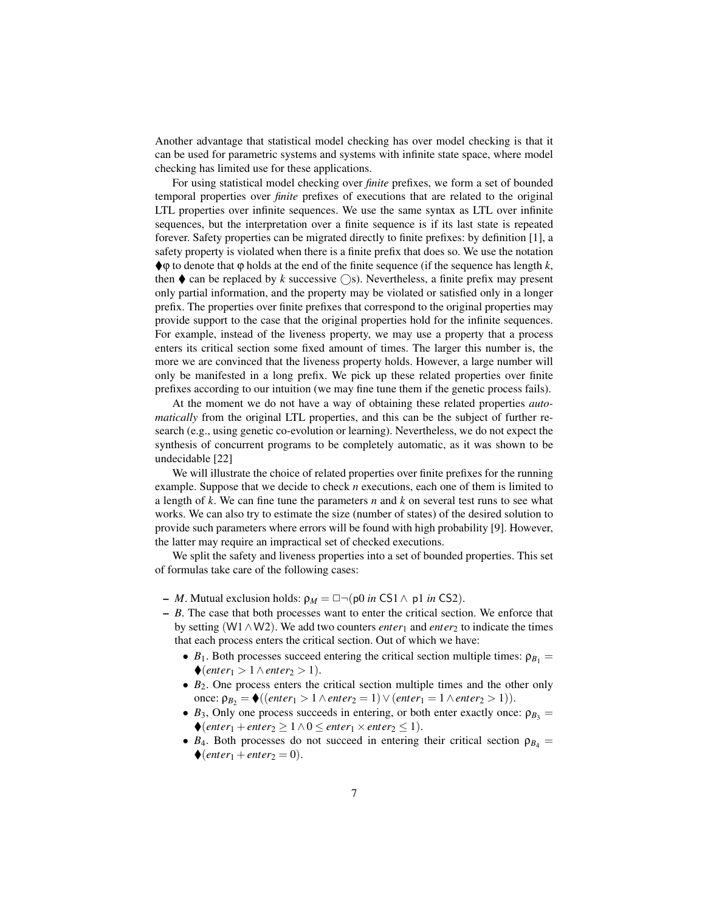Another advantage that statistical model checking has over model checking is that it can be used for parametric systems and systems with infinite state space, where model checking has limited use for these applications.

For using statistical model checking over *finite* prefixes, we form a set of bounded temporal properties over *finite* prefixes of executions that are related to the original LTL properties over infinite sequences. We use the same syntax as LTL over infinite sequences, but the interpretation over a finite sequence is if its last state is repeated forever. Safety properties can be migrated directly to finite prefixes: by definition [1], a safety property is violated when there is a finite prefix that does so. We use the notation  $\blacklozenge$  $\varphi$  to denote that  $\varphi$  holds at the end of the finite sequence (if the sequence has length  $k$ , then  $\blacklozenge$  can be replaced by *k* successive  $\bigcirc$ s). Nevertheless, a finite prefix may present only partial information, and the property may be violated or satisfied only in a longer prefix. The properties over finite prefixes that correspond to the original properties may provide support to the case that the original properties hold for the infinite sequences. For example, instead of the liveness property, we may use a property that a process enters its critical section some fixed amount of times. The larger this number is, the more we are convinced that the liveness property holds. However, a large number will only be manifested in a long prefix. We pick up these related properties over finite prefixes according to our intuition (we may fine tune them if the genetic process fails).

At the moment we do not have a way of obtaining these related properties *automatically* from the original LTL properties, and this can be the subject of further research (e.g., using genetic co-evolution or learning). Nevertheless, we do not expect the synthesis of concurrent programs to be completely automatic, as it was shown to be undecidable [22]

We will illustrate the choice of related properties over finite prefixes for the running example. Suppose that we decide to check *n* executions, each one of them is limited to a length of *k*. We can fine tune the parameters *n* and *k* on several test runs to see what works. We can also try to estimate the size (number of states) of the desired solution to provide such parameters where errors will be found with high probability [9]. However, the latter may require an impractical set of checked executions.

We split the safety and liveness properties into a set of bounded properties. This set of formulas take care of the following cases:

- $-M$ . Mutual exclusion holds:  $\rho_M = \Box \neg (p0 \text{ in } \text{CS1} \land p1 \text{ in } \text{CS2}).$
- *B*. The case that both processes want to enter the critical section. We enforce that by setting (W1∧W2). We add two counters *enter*<sub>1</sub> and *enter*<sub>2</sub> to indicate the times that each process enters the critical section. Out of which we have:
	- $B_1$ . Both processes succeed entering the critical section multiple times:  $\rho_{B_1} =$  $\big($ *enter*<sub>1</sub> > 1 ∧ *enter*<sub>2</sub> > 1).
	- $B_2$ . One process enters the critical section multiple times and the other only once:  $ρ_{B_2}$  =  $\blacklozenge$  ((*enter*<sub>1</sub> > 1∧*enter*<sub>2</sub> = 1) ∨ (*enter*<sub>1</sub> = 1∧*enter*<sub>2</sub> > 1)).
	- $B_3$ , Only one process succeeds in entering, or both enter exactly once:  $\rho_{B_3} =$  $\bigl(\text{enter}_1 + \text{enter}_2 \geq 1 \land 0 \leq \text{enter}_1 \times \text{enter}_2 \leq 1\bigr).$
	- $B_4$ . Both processes do not succeed in entering their critical section  $\rho_{B_4} =$  $\bullet$ (*enter*<sub>1</sub> + *enter*<sub>2</sub> = 0).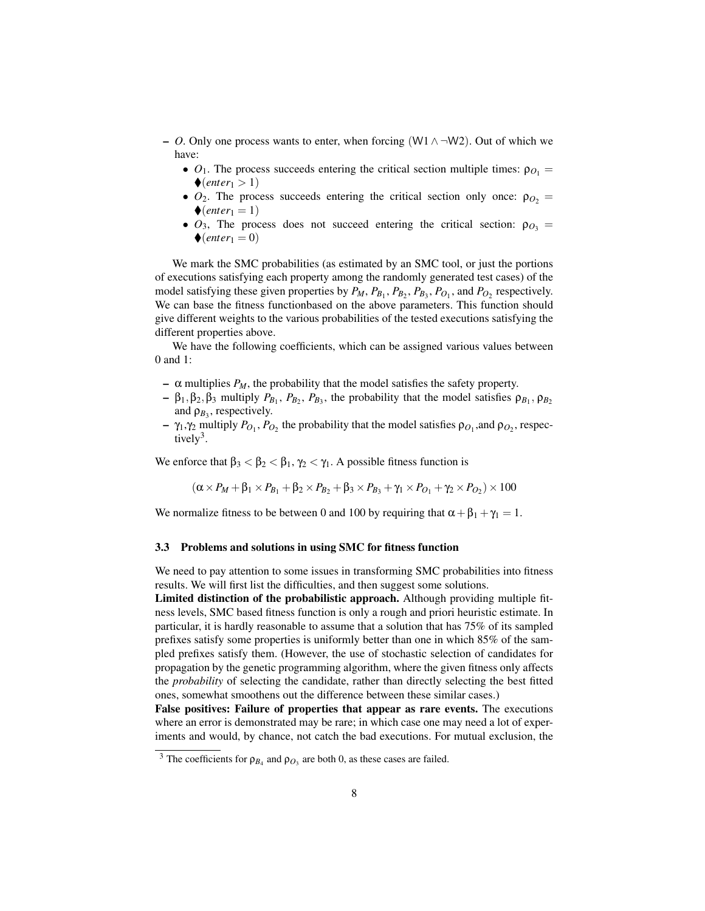- *O*. Only one process wants to enter, when forcing (W1∧ ¬W2). Out of which we have:
	- $O_1$ . The process succeeds entering the critical section multiple times:  $\rho_{O_1} =$  $\blacklozenge$ (*enter*<sub>1</sub> > 1)
	- $O_2$ . The process succeeds entering the critical section only once:  $\rho_{O_2} =$  $\bullet$ (*enter*<sub>1</sub> = 1)
	- $O_3$ , The process does not succeed entering the critical section:  $\rho_{O_3}$  =  $\blacklozenge$ (*enter*<sub>1</sub> = 0)

We mark the SMC probabilities (as estimated by an SMC tool, or just the portions of executions satisfying each property among the randomly generated test cases) of the model satisfying these given properties by  $P_M$ ,  $P_{B_1}$ ,  $P_{B_2}$ ,  $P_{B_3}$ ,  $P_{O_1}$ , and  $P_{O_2}$  respectively. We can base the fitness functionbased on the above parameters. This function should give different weights to the various probabilities of the tested executions satisfying the different properties above.

We have the following coefficients, which can be assigned various values between 0 and 1:

- $-\alpha$  multiplies  $P_M$ , the probability that the model satisfies the safety property.
- $-$  β<sub>1</sub>, β<sub>2</sub>, β<sub>3</sub> multiply  $P_{B_1}$ ,  $P_{B_2}$ ,  $P_{B_3}$ , the probability that the model satisfies  $ρ_{B_1}$ ,  $ρ_{B_2}$ and  $\rho_{B_3}$ , respectively.
- $-$  γ<sub>1</sub>, γ<sub>2</sub> multiply  $P_{O_1}$ ,  $P_{O_2}$  the probability that the model satisfies  $ρ_{O_1}$ , and  $ρ_{O_2}$ , respectively<sup>3</sup>.

We enforce that  $\beta_3 < \beta_2 < \beta_1$ ,  $\gamma_2 < \gamma_1$ . A possible fitness function is

$$
(\alpha \times P_M + \beta_1 \times P_{B_1} + \beta_2 \times P_{B_2} + \beta_3 \times P_{B_3} + \gamma_1 \times P_{O_1} + \gamma_2 \times P_{O_2}) \times 100
$$

We normalize fitness to be between 0 and 100 by requiring that  $\alpha + \beta_1 + \gamma_1 = 1$ .

#### 3.3 Problems and solutions in using SMC for fitness function

We need to pay attention to some issues in transforming SMC probabilities into fitness results. We will first list the difficulties, and then suggest some solutions.

Limited distinction of the probabilistic approach. Although providing multiple fitness levels, SMC based fitness function is only a rough and priori heuristic estimate. In particular, it is hardly reasonable to assume that a solution that has 75% of its sampled prefixes satisfy some properties is uniformly better than one in which 85% of the sampled prefixes satisfy them. (However, the use of stochastic selection of candidates for propagation by the genetic programming algorithm, where the given fitness only affects the *probability* of selecting the candidate, rather than directly selecting the best fitted ones, somewhat smoothens out the difference between these similar cases.)

False positives: Failure of properties that appear as rare events. The executions where an error is demonstrated may be rare; in which case one may need a lot of experiments and would, by chance, not catch the bad executions. For mutual exclusion, the

<sup>&</sup>lt;sup>3</sup> The coefficients for  $\rho_{B_4}$  and  $\rho_{O_3}$  are both 0, as these cases are failed.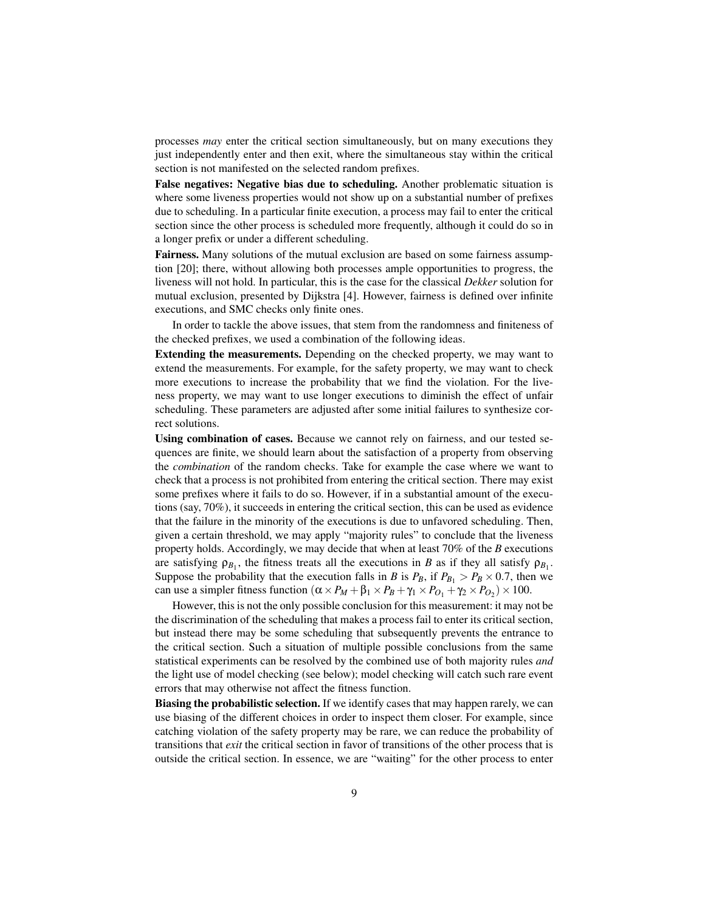processes *may* enter the critical section simultaneously, but on many executions they just independently enter and then exit, where the simultaneous stay within the critical section is not manifested on the selected random prefixes.

False negatives: Negative bias due to scheduling. Another problematic situation is where some liveness properties would not show up on a substantial number of prefixes due to scheduling. In a particular finite execution, a process may fail to enter the critical section since the other process is scheduled more frequently, although it could do so in a longer prefix or under a different scheduling.

Fairness. Many solutions of the mutual exclusion are based on some fairness assumption [20]; there, without allowing both processes ample opportunities to progress, the liveness will not hold. In particular, this is the case for the classical *Dekker* solution for mutual exclusion, presented by Dijkstra [4]. However, fairness is defined over infinite executions, and SMC checks only finite ones.

In order to tackle the above issues, that stem from the randomness and finiteness of the checked prefixes, we used a combination of the following ideas.

Extending the measurements. Depending on the checked property, we may want to extend the measurements. For example, for the safety property, we may want to check more executions to increase the probability that we find the violation. For the liveness property, we may want to use longer executions to diminish the effect of unfair scheduling. These parameters are adjusted after some initial failures to synthesize correct solutions.

Using combination of cases. Because we cannot rely on fairness, and our tested sequences are finite, we should learn about the satisfaction of a property from observing the *combination* of the random checks. Take for example the case where we want to check that a process is not prohibited from entering the critical section. There may exist some prefixes where it fails to do so. However, if in a substantial amount of the executions (say, 70%), it succeeds in entering the critical section, this can be used as evidence that the failure in the minority of the executions is due to unfavored scheduling. Then, given a certain threshold, we may apply "majority rules" to conclude that the liveness property holds. Accordingly, we may decide that when at least 70% of the *B* executions are satisfying  $\rho_{B_1}$ , the fitness treats all the executions in *B* as if they all satisfy  $\rho_{B_1}$ . Suppose the probability that the execution falls in *B* is  $P_B$ , if  $P_{B_1} > P_B \times 0.7$ , then we can use a simpler fitness function  $(\alpha \times P_M + \beta_1 \times P_B + \gamma_1 \times P_{O_1} + \gamma_2 \times P_{O_2}) \times 100$ .

However, this is not the only possible conclusion for this measurement: it may not be the discrimination of the scheduling that makes a process fail to enter its critical section, but instead there may be some scheduling that subsequently prevents the entrance to the critical section. Such a situation of multiple possible conclusions from the same statistical experiments can be resolved by the combined use of both majority rules *and* the light use of model checking (see below); model checking will catch such rare event errors that may otherwise not affect the fitness function.

Biasing the probabilistic selection. If we identify cases that may happen rarely, we can use biasing of the different choices in order to inspect them closer. For example, since catching violation of the safety property may be rare, we can reduce the probability of transitions that *exit* the critical section in favor of transitions of the other process that is outside the critical section. In essence, we are "waiting" for the other process to enter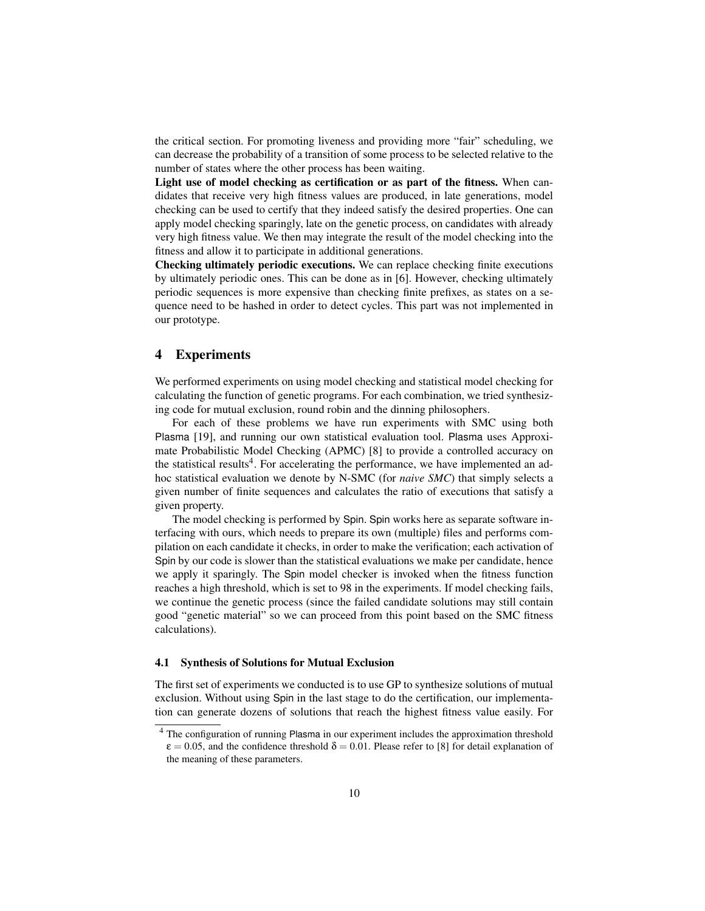the critical section. For promoting liveness and providing more "fair" scheduling, we can decrease the probability of a transition of some process to be selected relative to the number of states where the other process has been waiting.

Light use of model checking as certification or as part of the fitness. When candidates that receive very high fitness values are produced, in late generations, model checking can be used to certify that they indeed satisfy the desired properties. One can apply model checking sparingly, late on the genetic process, on candidates with already very high fitness value. We then may integrate the result of the model checking into the fitness and allow it to participate in additional generations.

Checking ultimately periodic executions. We can replace checking finite executions by ultimately periodic ones. This can be done as in [6]. However, checking ultimately periodic sequences is more expensive than checking finite prefixes, as states on a sequence need to be hashed in order to detect cycles. This part was not implemented in our prototype.

# 4 Experiments

We performed experiments on using model checking and statistical model checking for calculating the function of genetic programs. For each combination, we tried synthesizing code for mutual exclusion, round robin and the dinning philosophers.

For each of these problems we have run experiments with SMC using both Plasma [19], and running our own statistical evaluation tool. Plasma uses Approximate Probabilistic Model Checking (APMC) [8] to provide a controlled accuracy on the statistical results<sup>4</sup>. For accelerating the performance, we have implemented an adhoc statistical evaluation we denote by N-SMC (for *naive SMC*) that simply selects a given number of finite sequences and calculates the ratio of executions that satisfy a given property.

The model checking is performed by Spin. Spin works here as separate software interfacing with ours, which needs to prepare its own (multiple) files and performs compilation on each candidate it checks, in order to make the verification; each activation of Spin by our code is slower than the statistical evaluations we make per candidate, hence we apply it sparingly. The Spin model checker is invoked when the fitness function reaches a high threshold, which is set to 98 in the experiments. If model checking fails, we continue the genetic process (since the failed candidate solutions may still contain good "genetic material" so we can proceed from this point based on the SMC fitness calculations).

### 4.1 Synthesis of Solutions for Mutual Exclusion

The first set of experiments we conducted is to use GP to synthesize solutions of mutual exclusion. Without using Spin in the last stage to do the certification, our implementation can generate dozens of solutions that reach the highest fitness value easily. For

<sup>4</sup> The configuration of running Plasma in our experiment includes the approximation threshold  $\varepsilon = 0.05$ , and the confidence threshold  $\delta = 0.01$ . Please refer to [8] for detail explanation of

the meaning of these parameters.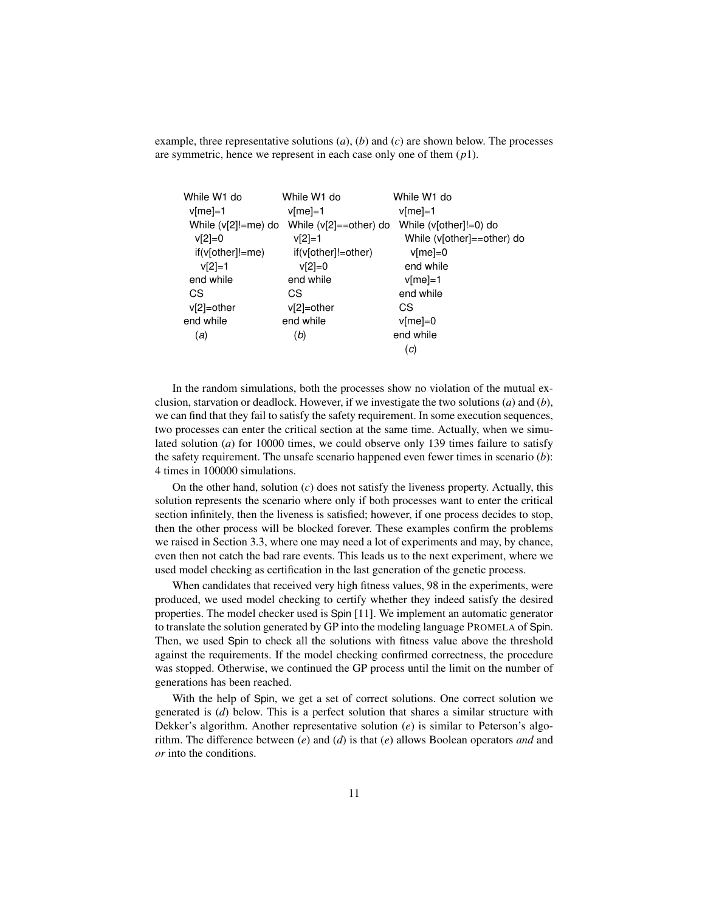example, three representative solutions (*a*), (*b*) and (*c*) are shown below. The processes are symmetric, hence we represent in each case only one of them (*p*1).

| While W1 do      | While W1 do                                   | While W1 do                |
|------------------|-----------------------------------------------|----------------------------|
| $v$ [me]=1       | $v$ [me]=1                                    | $v$ [me]=1                 |
|                  | While $(v[2]!=me)$ do While $(v[2]=other)$ do | While (v[other]!=0) do     |
| $v[2]=0$         | $v[2]=1$                                      | While (v[other]==other) do |
| if(v[other]!=me) | if(v[other]!=other)                           | $v$ [me]=0                 |
| $v[2]=1$         | $v[2]=0$                                      | end while                  |
| end while        | end while                                     | $v$ [me]=1                 |
| CS               | СS                                            | end while                  |
| v[2]=other       | $v[2] = other$                                | СS                         |
| end while        | end while                                     | $v$ [me]=0                 |
| (a)              | (b)                                           | end while                  |
|                  |                                               | (c)                        |

In the random simulations, both the processes show no violation of the mutual exclusion, starvation or deadlock. However, if we investigate the two solutions (*a*) and (*b*), we can find that they fail to satisfy the safety requirement. In some execution sequences, two processes can enter the critical section at the same time. Actually, when we simulated solution (*a*) for 10000 times, we could observe only 139 times failure to satisfy the safety requirement. The unsafe scenario happened even fewer times in scenario (*b*): 4 times in 100000 simulations.

On the other hand, solution (*c*) does not satisfy the liveness property. Actually, this solution represents the scenario where only if both processes want to enter the critical section infinitely, then the liveness is satisfied; however, if one process decides to stop, then the other process will be blocked forever. These examples confirm the problems we raised in Section 3.3, where one may need a lot of experiments and may, by chance, even then not catch the bad rare events. This leads us to the next experiment, where we used model checking as certification in the last generation of the genetic process.

When candidates that received very high fitness values, 98 in the experiments, were produced, we used model checking to certify whether they indeed satisfy the desired properties. The model checker used is Spin [11]. We implement an automatic generator to translate the solution generated by GP into the modeling language PROMELA of Spin. Then, we used Spin to check all the solutions with fitness value above the threshold against the requirements. If the model checking confirmed correctness, the procedure was stopped. Otherwise, we continued the GP process until the limit on the number of generations has been reached.

With the help of Spin, we get a set of correct solutions. One correct solution we generated is (*d*) below. This is a perfect solution that shares a similar structure with Dekker's algorithm. Another representative solution (*e*) is similar to Peterson's algorithm. The difference between (*e*) and (*d*) is that (*e*) allows Boolean operators *and* and *or* into the conditions.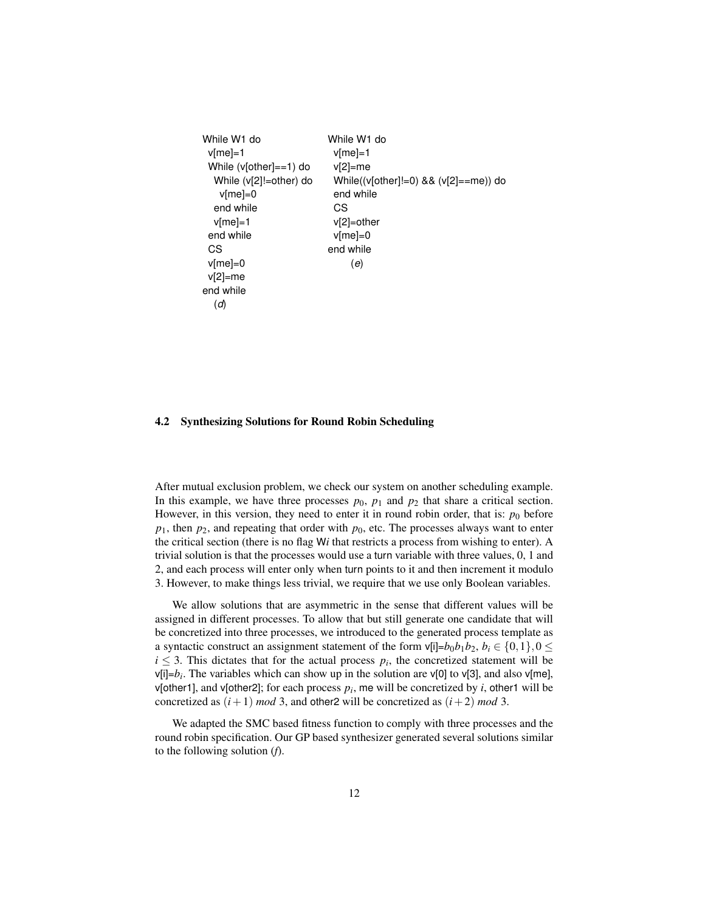| While W1 do              | While W1 do                           |
|--------------------------|---------------------------------------|
| $v$ [me]=1               | $v$ [me]=1                            |
| While $(v[other]=-1)$ do | $v[2]$ =me                            |
| While (v[2]!=other) do   | While((v[other]!=0) && (v[2]==me)) do |
| $v$ [me]=0               | end while                             |
| end while                | СS                                    |
| $v$ [me]=1               | v[2]=other                            |
| end while                | $v$ [me]=0                            |
| СS                       | end while                             |
| $v$ [me]=0               | (e)                                   |
| $v[2]$ =me               |                                       |
| end while                |                                       |
| (d)                      |                                       |

#### 4.2 Synthesizing Solutions for Round Robin Scheduling

After mutual exclusion problem, we check our system on another scheduling example. In this example, we have three processes  $p_0$ ,  $p_1$  and  $p_2$  that share a critical section. However, in this version, they need to enter it in round robin order, that is:  $p_0$  before  $p_1$ , then  $p_2$ , and repeating that order with  $p_0$ , etc. The processes always want to enter the critical section (there is no flag W*i* that restricts a process from wishing to enter). A trivial solution is that the processes would use a turn variable with three values, 0, 1 and 2, and each process will enter only when turn points to it and then increment it modulo 3. However, to make things less trivial, we require that we use only Boolean variables.

We allow solutions that are asymmetric in the sense that different values will be assigned in different processes. To allow that but still generate one candidate that will be concretized into three processes, we introduced to the generated process template as a syntactic construct an assignment statement of the form  $v[i]=b_0b_1b_2$ ,  $b_i \in \{0,1\}$ ,  $0 \leq$  $i \leq 3$ . This dictates that for the actual process  $p_i$ , the concretized statement will be  $v[i]=b_i$ . The variables which can show up in the solution are  $v[0]$  to  $v[3]$ , and also  $v[me]$ ,  $v[other1]$ , and  $v[other2]$ ; for each process  $p_i$ , me will be concretized by  $i$ , other1 will be concretized as  $(i+1) \mod 3$ , and other2 will be concretized as  $(i+2) \mod 3$ .

We adapted the SMC based fitness function to comply with three processes and the round robin specification. Our GP based synthesizer generated several solutions similar to the following solution (*f*).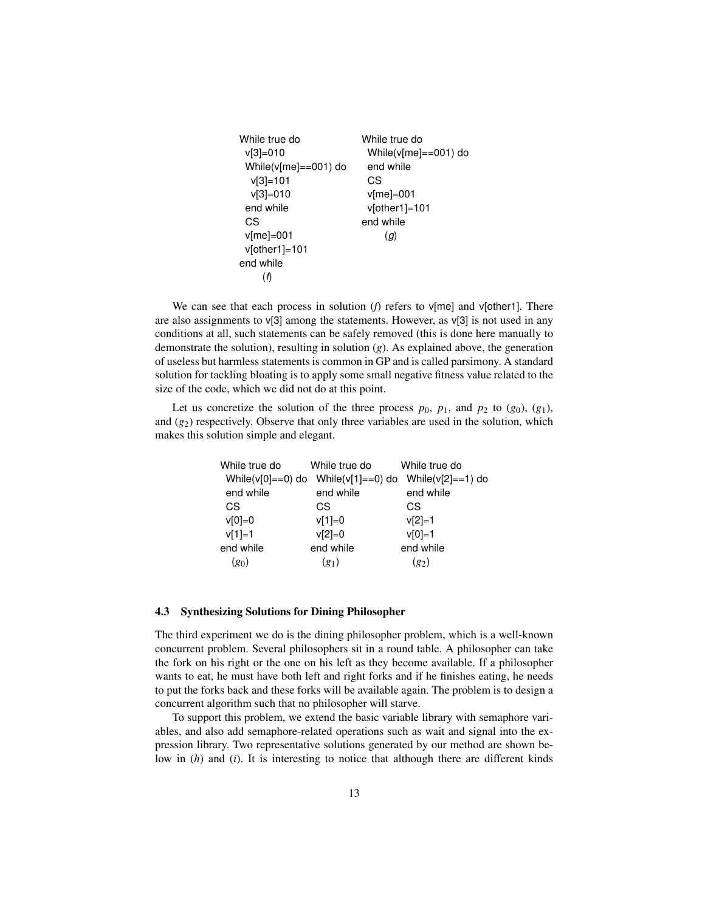| While true do            | While true do               |
|--------------------------|-----------------------------|
| v[3]=010                 | While(v[me]==001) do        |
| While( $v$ [me]==001) do | end while                   |
| $v[3] = 101$             | CS                          |
| $v[3] = 010$             | $v[me]=001$                 |
| end while                | vlother1]=101               |
| СS                       | end while                   |
| $v$ [me]=001             | $\left(\mathfrak{q}\right)$ |
| $v[other1]=101$          |                             |
| end while                |                             |
| (f)                      |                             |

We can see that each process in solution  $(f)$  refers to v[me] and v[other1]. There are also assignments to v[3] among the statements. However, as v[3] is not used in any conditions at all, such statements can be safely removed (this is done here manually to demonstrate the solution), resulting in solution (*g*). As explained above, the generation of useless but harmless statements is common in GP and is called parsimony. A standard solution for tackling bloating is to apply some small negative fitness value related to the size of the code, which we did not do at this point.

Let us concretize the solution of the three process  $p_0$ ,  $p_1$ , and  $p_2$  to  $(g_0)$ ,  $(g_1)$ , and  $(g<sub>2</sub>)$  respectively. Observe that only three variables are used in the solution, which makes this solution simple and elegant.

| While true do           | While true do | While true do                                   |
|-------------------------|---------------|-------------------------------------------------|
| While( $v[0] == 0$ ) do |               | While( $v[1] == 0$ ) do While( $v[2] == 1$ ) do |
| end while               | end while     | end while                                       |
| CS.                     | СS            | CS                                              |
| $v[0]=0$                | $v[1]=0$      | $v[2]=1$                                        |
| $v[1]=1$                | $v[2]=0$      | $v[0]=1$                                        |
| end while               | end while     | end while                                       |
| $(g_0)$                 | $(g_1)$       | $(g_2)$                                         |

#### 4.3 Synthesizing Solutions for Dining Philosopher

The third experiment we do is the dining philosopher problem, which is a well-known concurrent problem. Several philosophers sit in a round table. A philosopher can take the fork on his right or the one on his left as they become available. If a philosopher wants to eat, he must have both left and right forks and if he finishes eating, he needs to put the forks back and these forks will be available again. The problem is to design a concurrent algorithm such that no philosopher will starve.

To support this problem, we extend the basic variable library with semaphore variables, and also add semaphore-related operations such as wait and signal into the expression library. Two representative solutions generated by our method are shown below in (*h*) and (*i*). It is interesting to notice that although there are different kinds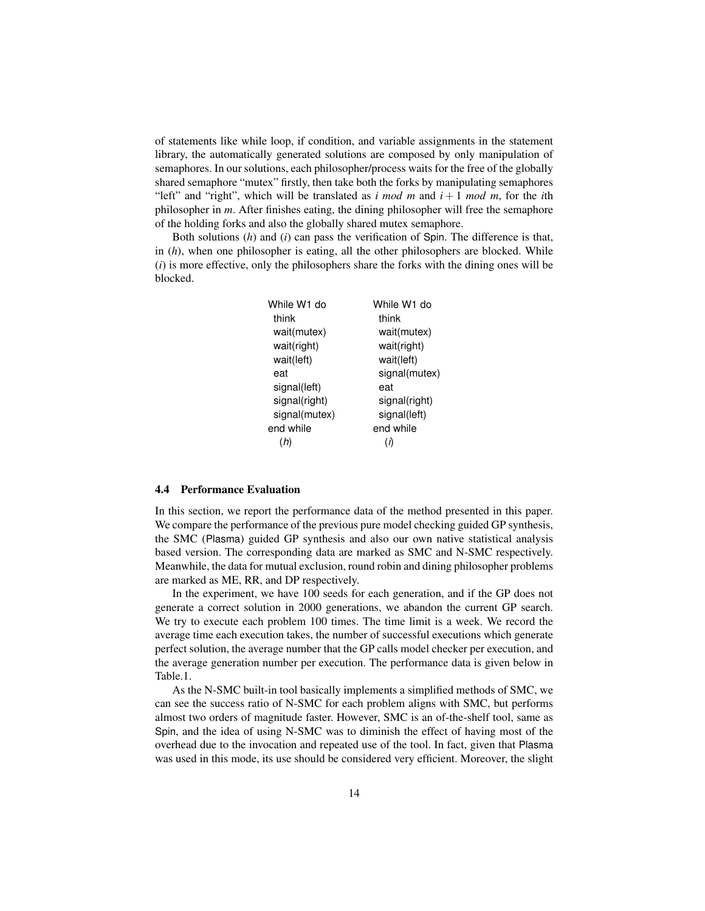of statements like while loop, if condition, and variable assignments in the statement library, the automatically generated solutions are composed by only manipulation of semaphores. In our solutions, each philosopher/process waits for the free of the globally shared semaphore "mutex" firstly, then take both the forks by manipulating semaphores "left" and "right", which will be translated as  $i \mod m$  and  $i + 1 \mod m$ , for the *i*th philosopher in *m*. After finishes eating, the dining philosopher will free the semaphore of the holding forks and also the globally shared mutex semaphore.

Both solutions (*h*) and (*i*) can pass the verification of Spin. The difference is that, in (*h*), when one philosopher is eating, all the other philosophers are blocked. While (*i*) is more effective, only the philosophers share the forks with the dining ones will be blocked.

| While W1 do   | While W1 do   |
|---------------|---------------|
| think         | think         |
| wait(mutex)   | wait(mutex)   |
| wait(right)   | wait(right)   |
| wait(left)    | wait(left)    |
| eat           | signal(mutex) |
| signal(left)  | eat           |
| signal(right) | signal(right) |
| signal(mutex) | signal(left)  |
| end while     | end while     |
|               |               |
|               |               |

#### 4.4 Performance Evaluation

In this section, we report the performance data of the method presented in this paper. We compare the performance of the previous pure model checking guided GP synthesis, the SMC (Plasma) guided GP synthesis and also our own native statistical analysis based version. The corresponding data are marked as SMC and N-SMC respectively. Meanwhile, the data for mutual exclusion, round robin and dining philosopher problems are marked as ME, RR, and DP respectively.

In the experiment, we have 100 seeds for each generation, and if the GP does not generate a correct solution in 2000 generations, we abandon the current GP search. We try to execute each problem 100 times. The time limit is a week. We record the average time each execution takes, the number of successful executions which generate perfect solution, the average number that the GP calls model checker per execution, and the average generation number per execution. The performance data is given below in Table.1.

As the N-SMC built-in tool basically implements a simplified methods of SMC, we can see the success ratio of N-SMC for each problem aligns with SMC, but performs almost two orders of magnitude faster. However, SMC is an of-the-shelf tool, same as Spin, and the idea of using N-SMC was to diminish the effect of having most of the overhead due to the invocation and repeated use of the tool. In fact, given that Plasma was used in this mode, its use should be considered very efficient. Moreover, the slight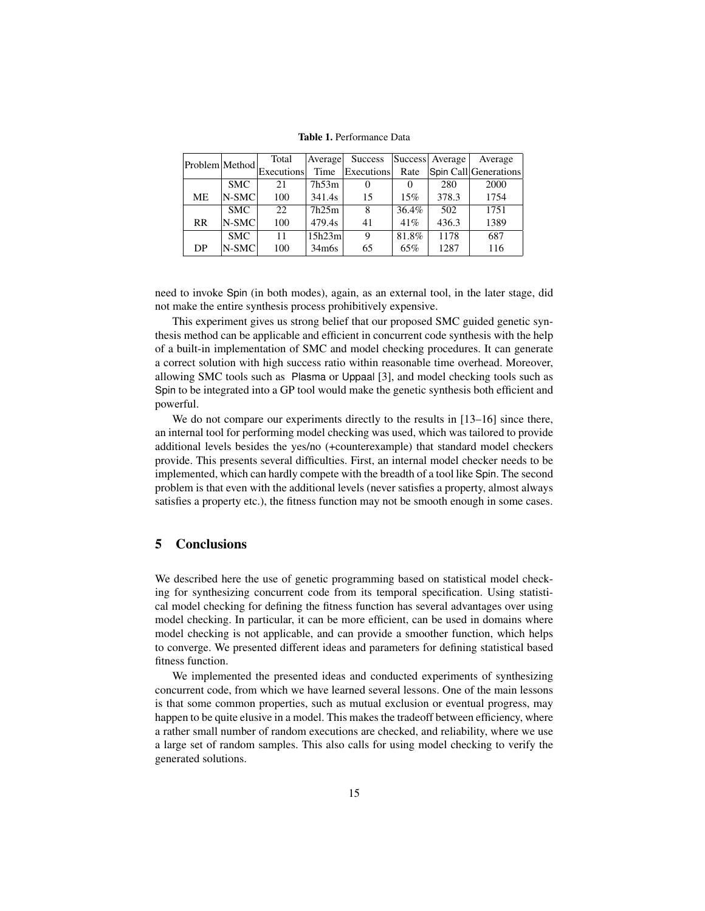Table 1. Performance Data

| Problem Method |            | Total      | Average            | Success    |       | Success   Average | Average               |
|----------------|------------|------------|--------------------|------------|-------|-------------------|-----------------------|
|                |            | Executions | Time               | Executions | Rate  |                   | Spin Call Generations |
|                | <b>SMC</b> | 21         | 7h53m              | 0          |       | 280               | 2000                  |
| ME             | N-SMC      | 100        | 341.4s             | 15         | 15%   | 378.3             | 1754                  |
|                | <b>SMC</b> | 22         | 7h25m              | 8          | 36.4% | 502               | 1751                  |
| <b>RR</b>      | $N-SMC$    | 100        | 479.4s             | 41         | 41%   | 436.3             | 1389                  |
|                | <b>SMC</b> | 11         | 15h23m             | 9          | 81.8% | 1178              | 687                   |
| DP             | N-SMC      | 100        | 34 <sub>m</sub> 6s | 65         | 65%   | 1287              | 116                   |

need to invoke Spin (in both modes), again, as an external tool, in the later stage, did not make the entire synthesis process prohibitively expensive.

This experiment gives us strong belief that our proposed SMC guided genetic synthesis method can be applicable and efficient in concurrent code synthesis with the help of a built-in implementation of SMC and model checking procedures. It can generate a correct solution with high success ratio within reasonable time overhead. Moreover, allowing SMC tools such as Plasma or Uppaal [3], and model checking tools such as Spin to be integrated into a GP tool would make the genetic synthesis both efficient and powerful.

We do not compare our experiments directly to the results in [13–16] since there, an internal tool for performing model checking was used, which was tailored to provide additional levels besides the yes/no (+counterexample) that standard model checkers provide. This presents several difficulties. First, an internal model checker needs to be implemented, which can hardly compete with the breadth of a tool like Spin. The second problem is that even with the additional levels (never satisfies a property, almost always satisfies a property etc.), the fitness function may not be smooth enough in some cases.

# 5 Conclusions

We described here the use of genetic programming based on statistical model checking for synthesizing concurrent code from its temporal specification. Using statistical model checking for defining the fitness function has several advantages over using model checking. In particular, it can be more efficient, can be used in domains where model checking is not applicable, and can provide a smoother function, which helps to converge. We presented different ideas and parameters for defining statistical based fitness function.

We implemented the presented ideas and conducted experiments of synthesizing concurrent code, from which we have learned several lessons. One of the main lessons is that some common properties, such as mutual exclusion or eventual progress, may happen to be quite elusive in a model. This makes the tradeoff between efficiency, where a rather small number of random executions are checked, and reliability, where we use a large set of random samples. This also calls for using model checking to verify the generated solutions.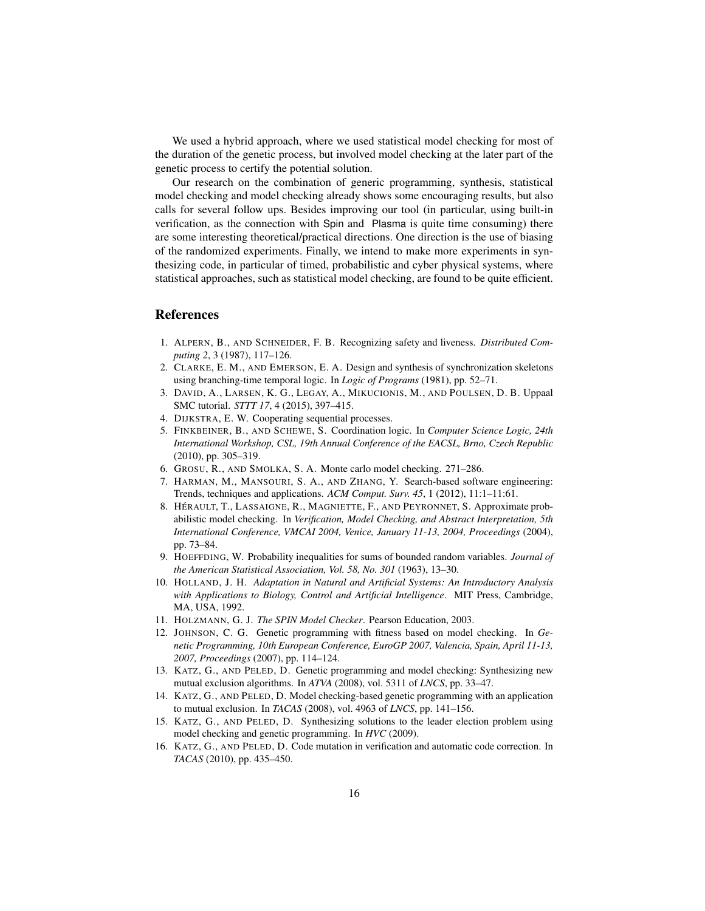We used a hybrid approach, where we used statistical model checking for most of the duration of the genetic process, but involved model checking at the later part of the genetic process to certify the potential solution.

Our research on the combination of generic programming, synthesis, statistical model checking and model checking already shows some encouraging results, but also calls for several follow ups. Besides improving our tool (in particular, using built-in verification, as the connection with Spin and Plasma is quite time consuming) there are some interesting theoretical/practical directions. One direction is the use of biasing of the randomized experiments. Finally, we intend to make more experiments in synthesizing code, in particular of timed, probabilistic and cyber physical systems, where statistical approaches, such as statistical model checking, are found to be quite efficient.

# References

- 1. ALPERN, B., AND SCHNEIDER, F. B. Recognizing safety and liveness. *Distributed Computing 2*, 3 (1987), 117–126.
- 2. CLARKE, E. M., AND EMERSON, E. A. Design and synthesis of synchronization skeletons using branching-time temporal logic. In *Logic of Programs* (1981), pp. 52–71.
- 3. DAVID, A., LARSEN, K. G., LEGAY, A., MIKUCIONIS, M., AND POULSEN, D. B. Uppaal SMC tutorial. *STTT 17*, 4 (2015), 397–415.
- 4. DIJKSTRA, E. W. Cooperating sequential processes.
- 5. FINKBEINER, B., AND SCHEWE, S. Coordination logic. In *Computer Science Logic, 24th International Workshop, CSL, 19th Annual Conference of the EACSL, Brno, Czech Republic* (2010), pp. 305–319.
- 6. GROSU, R., AND SMOLKA, S. A. Monte carlo model checking. 271–286.
- 7. HARMAN, M., MANSOURI, S. A., AND ZHANG, Y. Search-based software engineering: Trends, techniques and applications. *ACM Comput. Surv. 45*, 1 (2012), 11:1–11:61.
- 8. HÉRAULT, T., LASSAIGNE, R., MAGNIETTE, F., AND PEYRONNET, S. Approximate probabilistic model checking. In *Verification, Model Checking, and Abstract Interpretation, 5th International Conference, VMCAI 2004, Venice, January 11-13, 2004, Proceedings* (2004), pp. 73–84.
- 9. HOEFFDING, W. Probability inequalities for sums of bounded random variables. *Journal of the American Statistical Association, Vol. 58, No. 301* (1963), 13–30.
- 10. HOLLAND, J. H. *Adaptation in Natural and Artificial Systems: An Introductory Analysis with Applications to Biology, Control and Artificial Intelligence*. MIT Press, Cambridge, MA, USA, 1992.
- 11. HOLZMANN, G. J. *The SPIN Model Checker*. Pearson Education, 2003.
- 12. JOHNSON, C. G. Genetic programming with fitness based on model checking. In *Genetic Programming, 10th European Conference, EuroGP 2007, Valencia, Spain, April 11-13, 2007, Proceedings* (2007), pp. 114–124.
- 13. KATZ, G., AND PELED, D. Genetic programming and model checking: Synthesizing new mutual exclusion algorithms. In *ATVA* (2008), vol. 5311 of *LNCS*, pp. 33–47.
- 14. KATZ, G., AND PELED, D. Model checking-based genetic programming with an application to mutual exclusion. In *TACAS* (2008), vol. 4963 of *LNCS*, pp. 141–156.
- 15. KATZ, G., AND PELED, D. Synthesizing solutions to the leader election problem using model checking and genetic programming. In *HVC* (2009).
- 16. KATZ, G., AND PELED, D. Code mutation in verification and automatic code correction. In *TACAS* (2010), pp. 435–450.